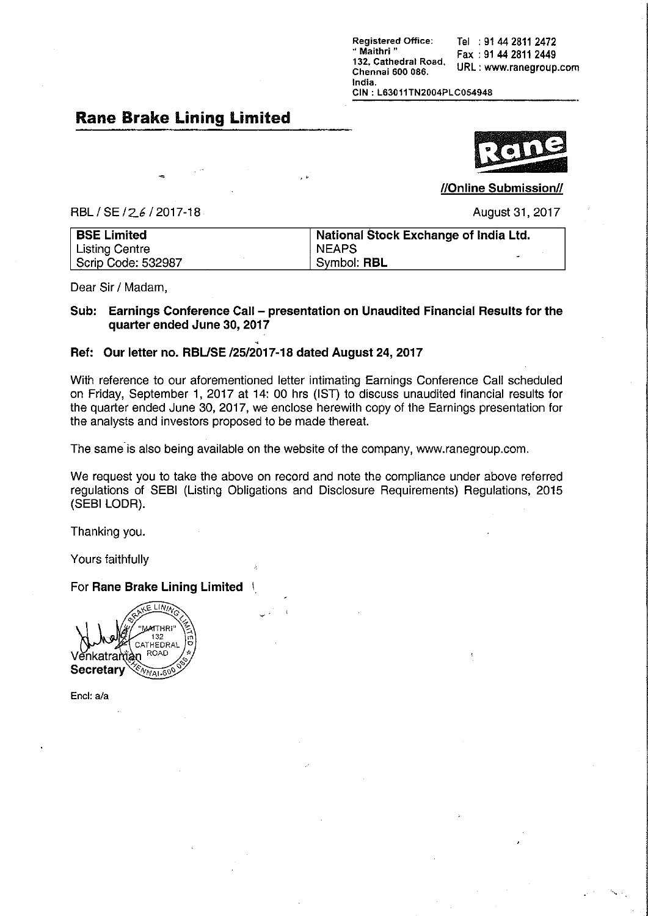**Registered Office:** Tel : 91 44 2811 2472 " Maithri" Fax: 91 44 2811 2449 132, Cathedral Road, URL: www.ranegroup.com Chennai 600 086. India.

CIN: L63011TN2004PLC054948

#### **Rane Brake Lining Limited**

//Online Submission//

RBL / SE / 26 / 2017-18

August 31, 2017

| <b>BSE Limited</b> | National Stock Exchange of India Ltd. |
|--------------------|---------------------------------------|
| Listing Centre     | <b>NEAPS</b>                          |
| Scrip Code: 532987 | $\tilde{\phantom{a}}$<br>Symbol: RBL  |

Dear Sir / Madam.

#### Sub: Earnings Conference Call - presentation on Unaudited Financial Results for the quarter ended June 30, 2017

#### Ref: Our letter no. RBL/SE /25/2017-18 dated August 24, 2017

With reference to our aforementioned letter intimating Earnings Conference Call scheduled on Friday, September 1, 2017 at 14: 00 hrs (IST) to discuss unaudited financial results for the quarter ended June 30, 2017, we enclose herewith copy of the Earnings presentation for the analysts and investors proposed to be made thereat.

The same is also being available on the website of the company, www.ranegroup.com.

We request you to take the above on record and note the compliance under above referred regulations of SEBI (Listing Obligations and Disclosure Requirements) Regulations, 2015 (SEBI LODR).

Thanking you.

Yours faithfully

For Rane Brake Lining Limited



Encl: a/a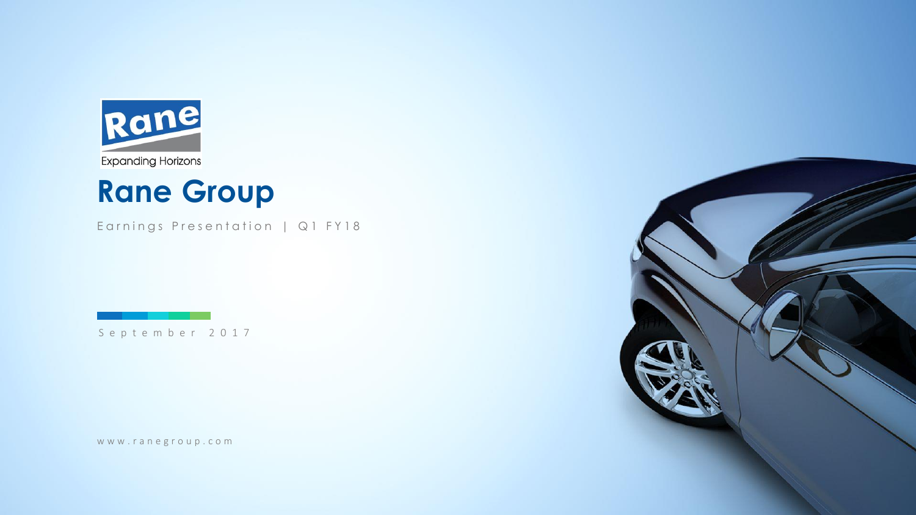

# **Rane Group**

Earnings Presentation | Q1 FY18

S e p t e m b e r 2 0 1 7

www.ranegroup.com

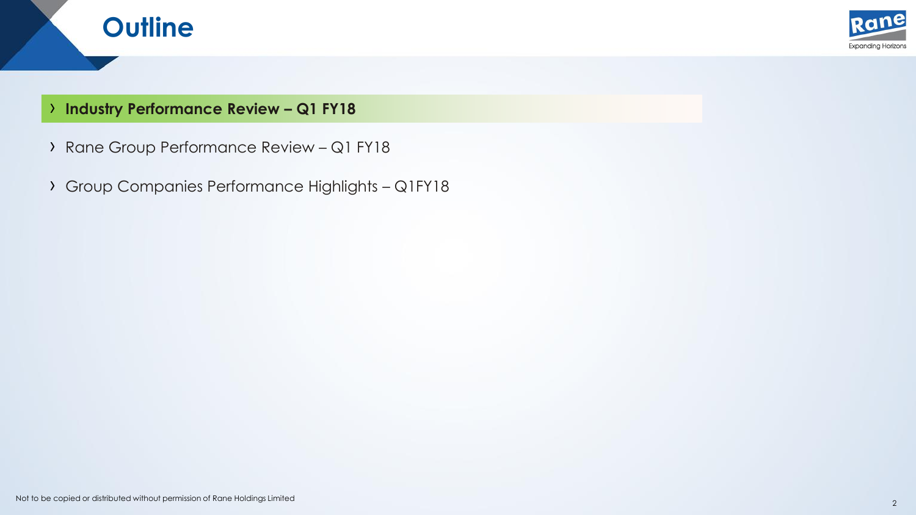

### › **Industry Performance Review – Q1 FY18**

**Outline**

- › Rane Group Performance Review Q1 FY18
- › Group Companies Performance Highlights Q1FY18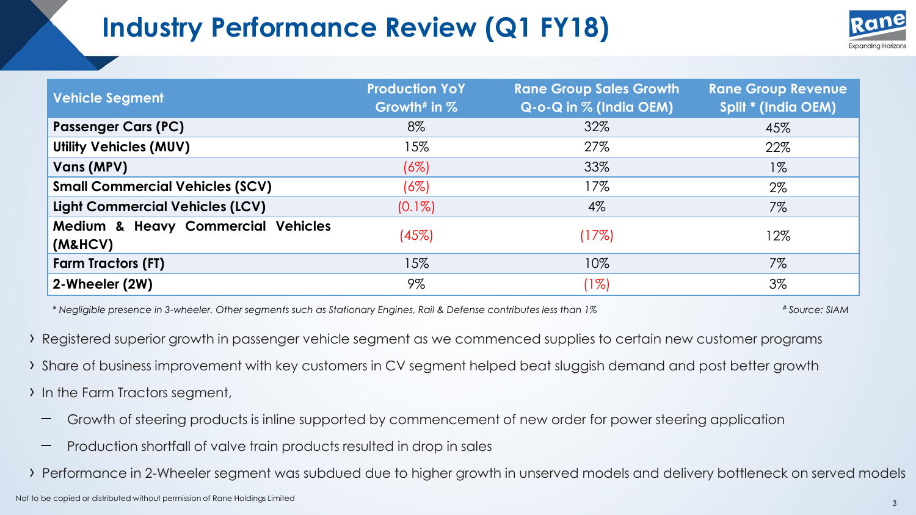# **Industry Performance Review (Q1 FY18)**



| <b>Vehicle Segment</b>                        | <b>Production YoY</b><br>Growth <sup>#</sup> in $%$ | <b>Rane Group Sales Growth</b><br>$Q$ -o-Q in $%$ (India OEM) | <b>Rane Group Revenue</b><br>Split * (India OEM) |
|-----------------------------------------------|-----------------------------------------------------|---------------------------------------------------------------|--------------------------------------------------|
| <b>Passenger Cars (PC)</b>                    | 8%                                                  | 32%                                                           | 45%                                              |
| <b>Utility Vehicles (MUV)</b>                 | 15%                                                 | 27%                                                           | 22%                                              |
| Vans (MPV)                                    | (6%)                                                | 33%                                                           | $1\%$                                            |
| <b>Small Commercial Vehicles (SCV)</b>        | $(6\%)$                                             | 17%                                                           | $2\%$                                            |
| <b>Light Commercial Vehicles (LCV)</b>        | $(0.1\%)$                                           | $4\%$                                                         | 7%                                               |
| Medium & Heavy Commercial Vehicles<br>(M&HCV) | (45%)                                               | (17%)                                                         | 12%                                              |
| <b>Farm Tractors (FT)</b>                     | 15%                                                 | 10%                                                           | $7\%$                                            |
| 2-Wheeler (2W)                                | $9\%$                                               | $(1\%)$                                                       | $3\%$                                            |

*\* Negligible presence in 3-wheeler. Other segments such as Stationary Engines, Rail & Defense contributes less than 1%* # *Source: SIAM* 

› Registered superior growth in passenger vehicle segment as we commenced supplies to certain new customer programs

- › Share of business improvement with key customers in CV segment helped beat sluggish demand and post better growth
- › In the Farm Tractors segment,
	- Growth of steering products is inline supported by commencement of new order for power steering application
	- Production shortfall of valve train products resulted in drop in sales

› Performance in 2-Wheeler segment was subdued due to higher growth in unserved models and delivery bottleneck on served models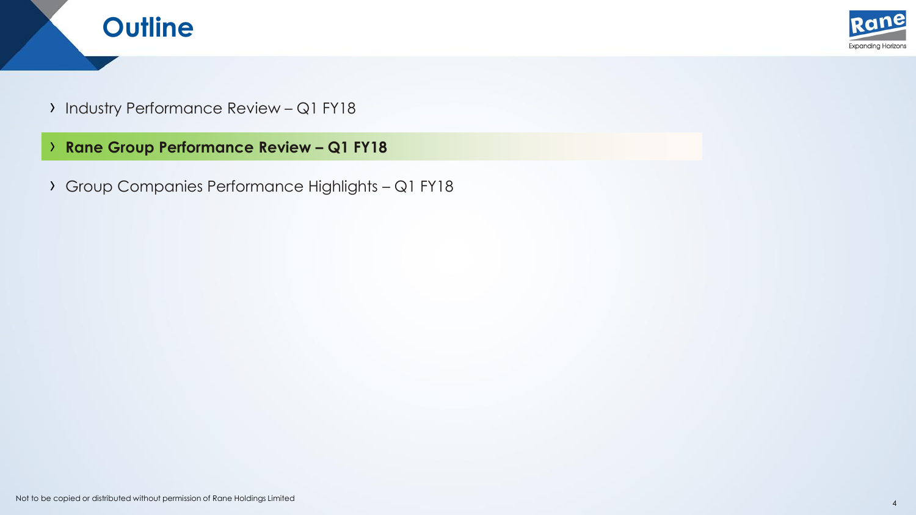



- › Industry Performance Review Q1 FY18
- › **Rane Group Performance Review – Q1 FY18**
- › Group Companies Performance Highlights Q1 FY18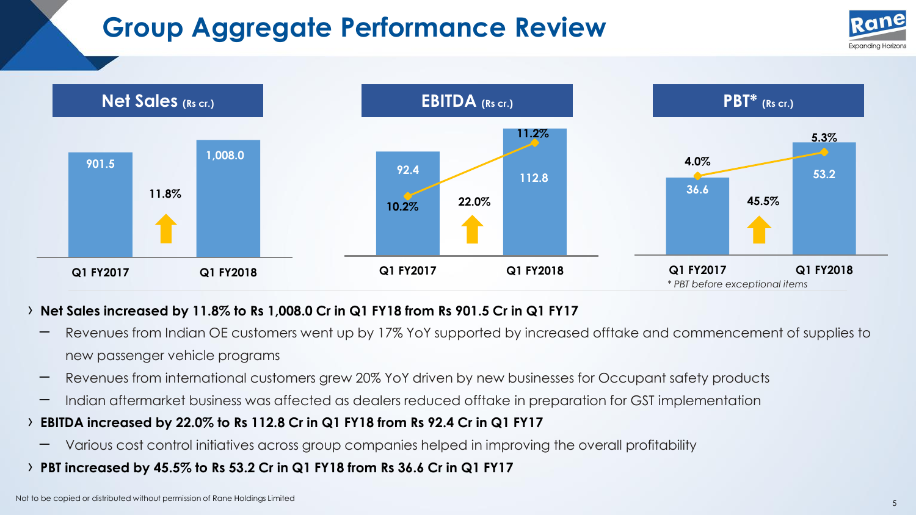# **Group Aggregate Performance Review**





#### › **Net Sales increased by 11.8% to Rs 1,008.0 Cr in Q1 FY18 from Rs 901.5 Cr in Q1 FY17**

- Revenues from Indian OE customers went up by 17% YoY supported by increased offtake and commencement of supplies to new passenger vehicle programs
- Revenues from international customers grew 20% YoY driven by new businesses for Occupant safety products
- Indian aftermarket business was affected as dealers reduced offtake in preparation for GST implementation
- › **EBITDA increased by 22.0% to Rs 112.8 Cr in Q1 FY18 from Rs 92.4 Cr in Q1 FY17**
	- Various cost control initiatives across group companies helped in improving the overall profitability
- › **PBT increased by 45.5% to Rs 53.2 Cr in Q1 FY18 from Rs 36.6 Cr in Q1 FY17**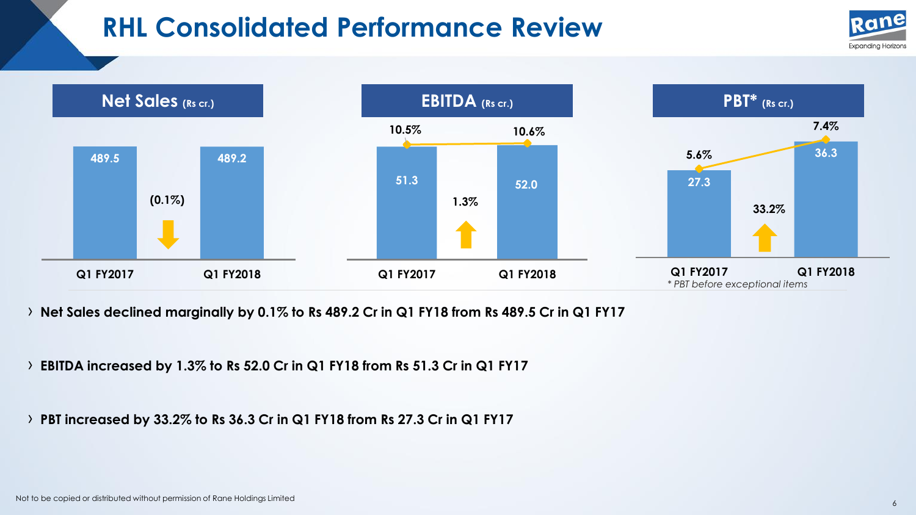### **RHL Consolidated Performance Review**





› **Net Sales declined marginally by 0.1% to Rs 489.2 Cr in Q1 FY18 from Rs 489.5 Cr in Q1 FY17**

› **EBITDA increased by 1.3% to Rs 52.0 Cr in Q1 FY18 from Rs 51.3 Cr in Q1 FY17**

› **PBT increased by 33.2% to Rs 36.3 Cr in Q1 FY18 from Rs 27.3 Cr in Q1 FY17**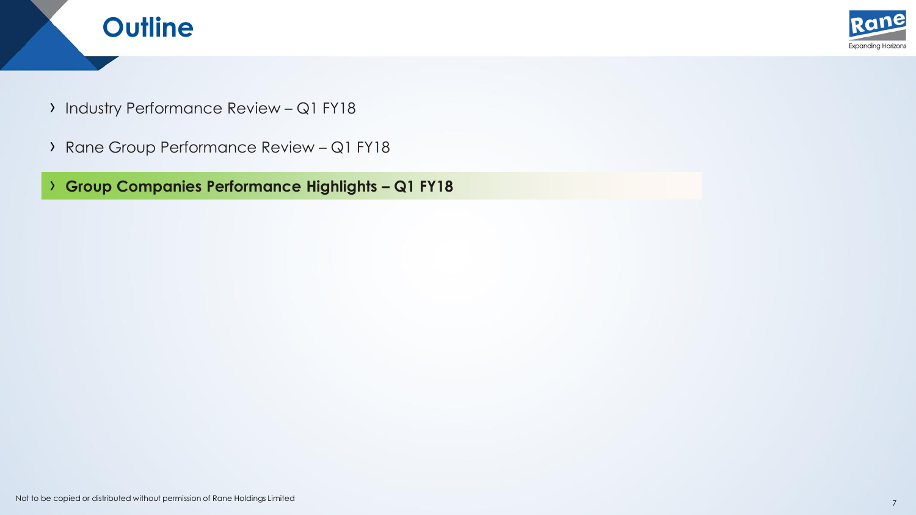



- › Industry Performance Review Q1 FY18
- › Rane Group Performance Review Q1 FY18

› **Group Companies Performance Highlights – Q1 FY18**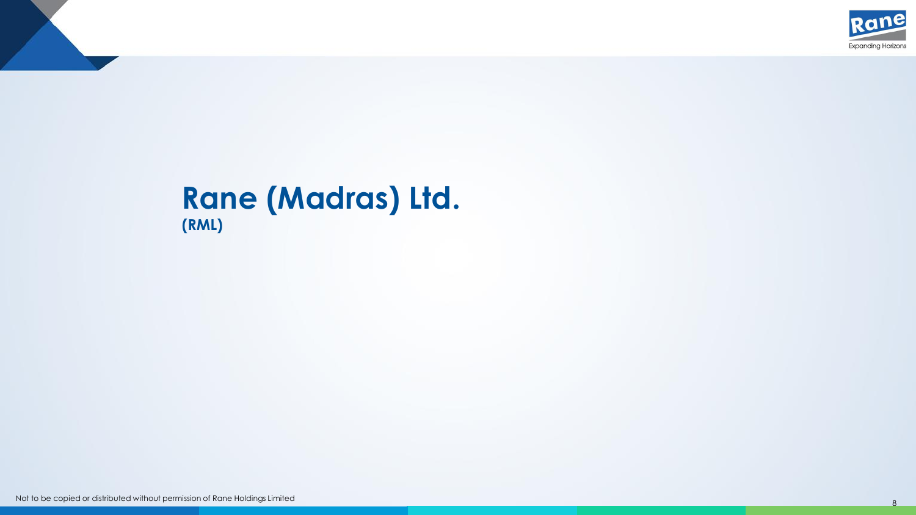

### **Rane (Madras) Ltd. (RML)**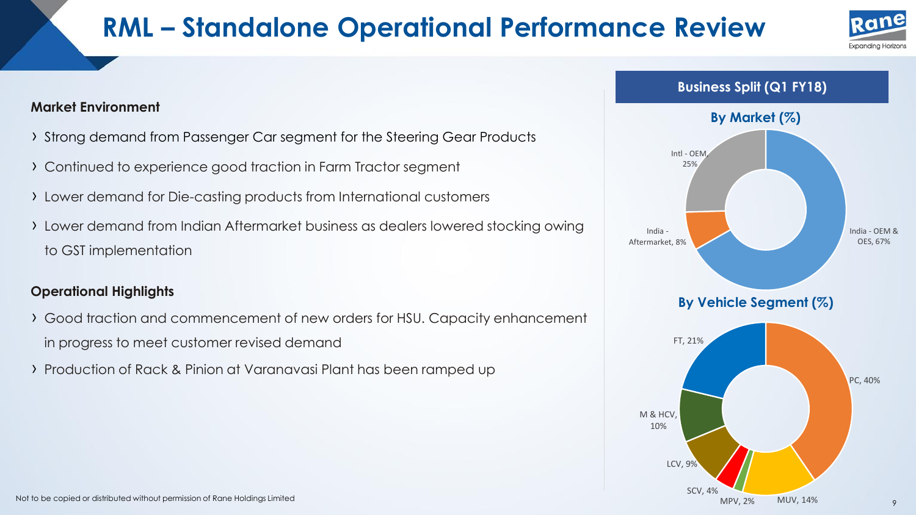# **RML – Standalone Operational Performance Review**





#### **Market Environment**

- › Strong demand from Passenger Car segment for the Steering Gear Products
- › Continued to experience good traction in Farm Tractor segment
- › Lower demand for Die-casting products from International customers
- › Lower demand from Indian Aftermarket business as dealers lowered stocking owing to GST implementation

#### **Operational Highlights**

- › Good traction and commencement of new orders for HSU. Capacity enhancement in progress to meet customer revised demand
- › Production of Rack & Pinion at Varanavasi Plant has been ramped up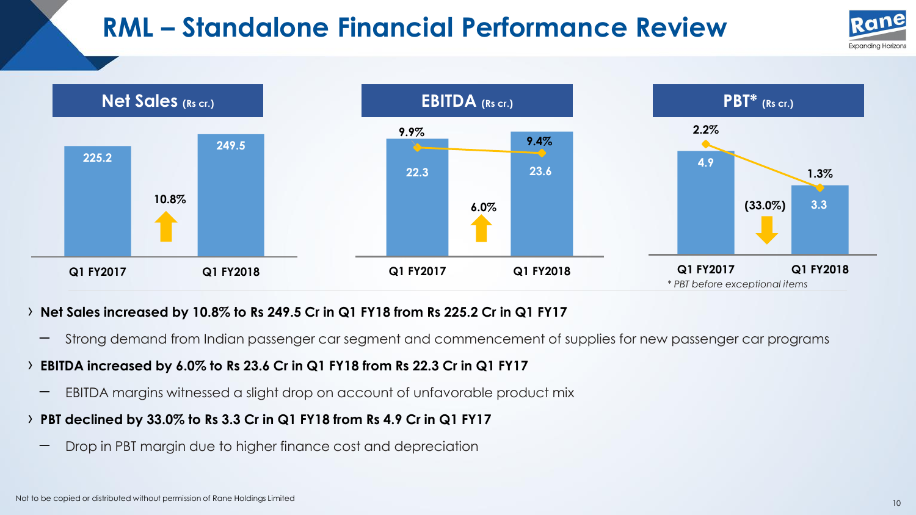# **RML – Standalone Financial Performance Review**





#### › **Net Sales increased by 10.8% to Rs 249.5 Cr in Q1 FY18 from Rs 225.2 Cr in Q1 FY17**

– Strong demand from Indian passenger car segment and commencement of supplies for new passenger car programs

### › **EBITDA increased by 6.0% to Rs 23.6 Cr in Q1 FY18 from Rs 22.3 Cr in Q1 FY17**

– EBITDA margins witnessed a slight drop on account of unfavorable product mix

### › **PBT declined by 33.0% to Rs 3.3 Cr in Q1 FY18 from Rs 4.9 Cr in Q1 FY17**

– Drop in PBT margin due to higher finance cost and depreciation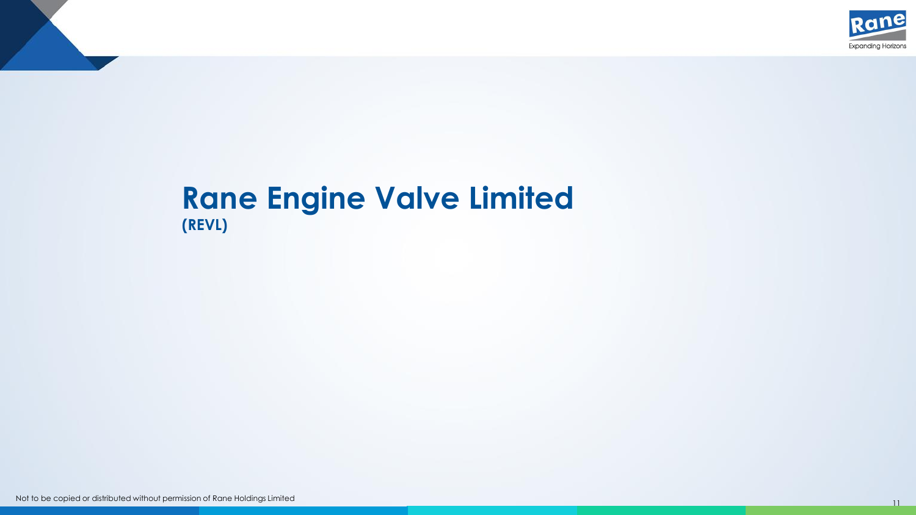

### **Rane Engine Valve Limited (REVL)**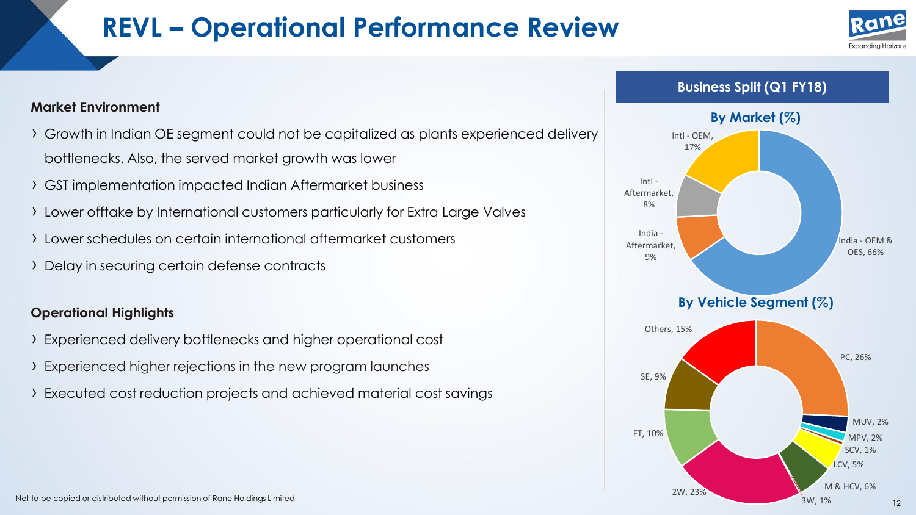# **REVL – Operational Performance Review**





- › Growth in Indian OE segment could not be capitalized as plants experienced delivery bottlenecks. Also, the served market growth was lower
- › GST implementation impacted Indian Aftermarket business
- › Lower offtake by International customers particularly for Extra Large Valves
- › Lower schedules on certain international aftermarket customers
- › Delay in securing certain defense contracts

#### **Operational Highlights**

- › Experienced delivery bottlenecks and higher operational cost
- › Experienced higher rejections in the new program launches
- › Executed cost reduction projects and achieved material cost savings



**Business Split (Q1 FY18)**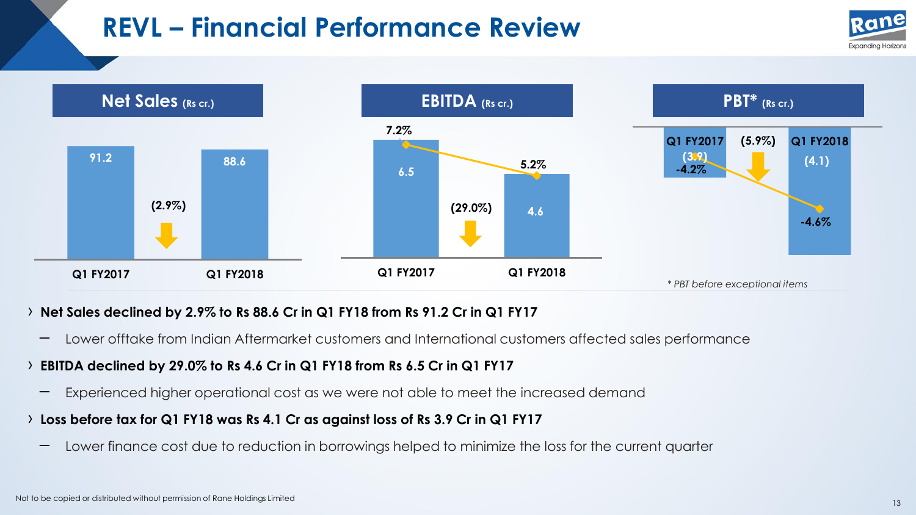# **REVL – Financial Performance Review**





#### › **Net Sales declined by 2.9% to Rs 88.6 Cr in Q1 FY18 from Rs 91.2 Cr in Q1 FY17**

– Lower offtake from Indian Aftermarket customers and International customers affected sales performance

### › **EBITDA declined by 29.0% to Rs 4.6 Cr in Q1 FY18 from Rs 6.5 Cr in Q1 FY17**

- Experienced higher operational cost as we were not able to meet the increased demand
- › **Loss before tax for Q1 FY18 was Rs 4.1 Cr as against loss of Rs 3.9 Cr in Q1 FY17**
	- Lower finance cost due to reduction in borrowings helped to minimize the loss for the current quarter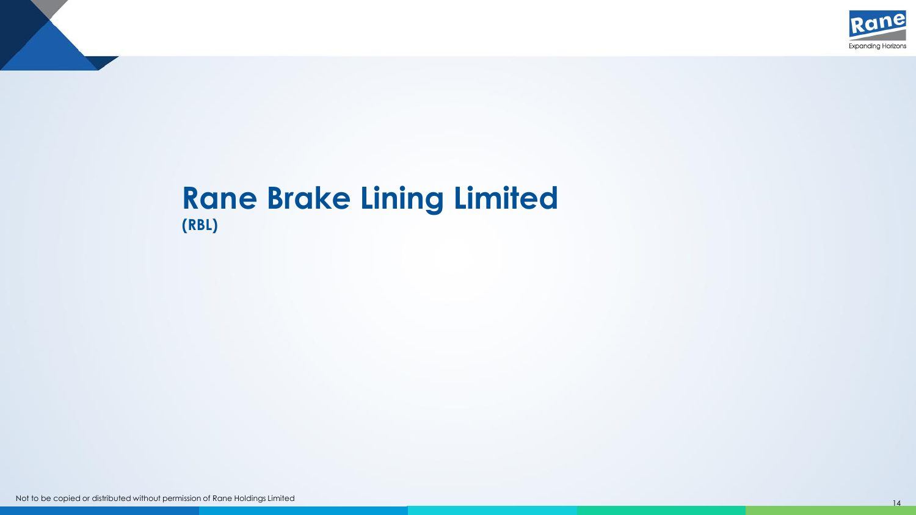

### **Rane Brake Lining Limited (RBL)**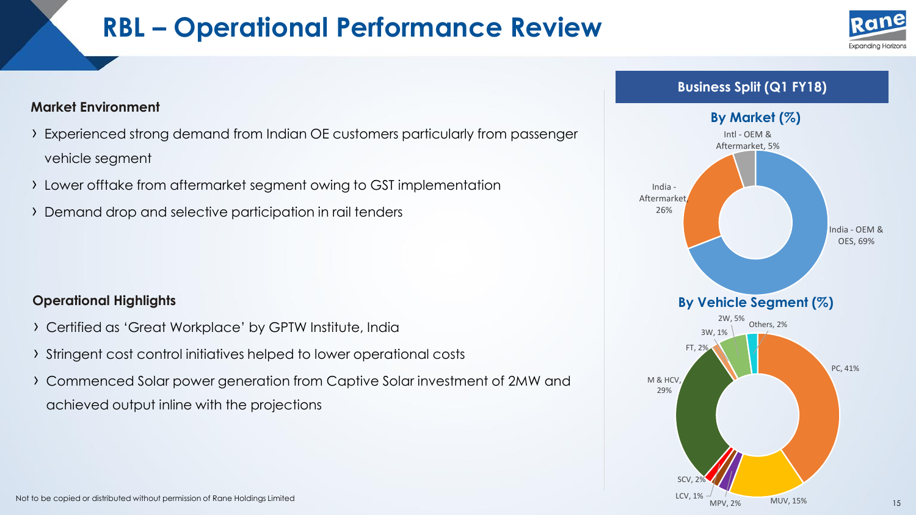# **RBL – Operational Performance Review**



#### **Business Split (Q1 FY18)**



#### **Market Environment**

- › Experienced strong demand from Indian OE customers particularly from passenger vehicle segment
- › Lower offtake from aftermarket segment owing to GST implementation
- › Demand drop and selective participation in rail tenders

### **Operational Highlights**

- › Certified as 'Great Workplace' by GPTW Institute, India
- › Stringent cost control initiatives helped to lower operational costs
- › Commenced Solar power generation from Captive Solar investment of 2MW and achieved output inline with the projections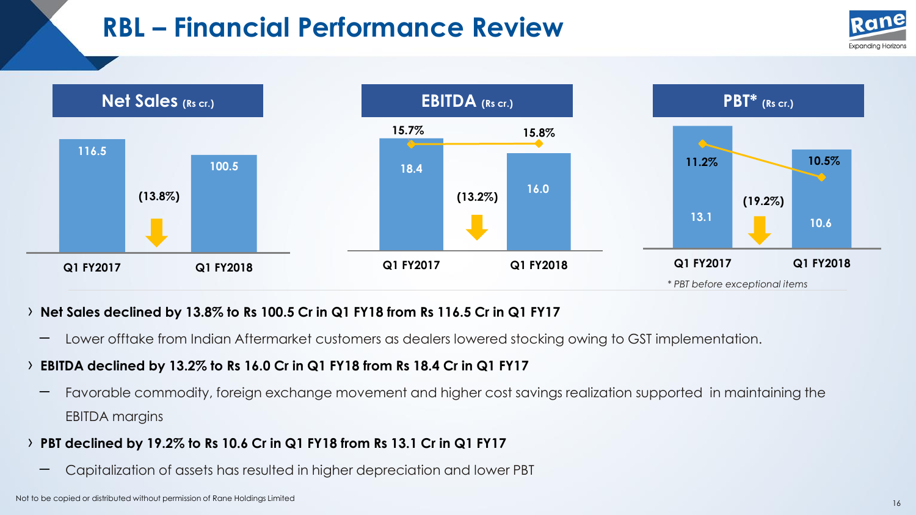# **RBL – Financial Performance Review**





#### › **Net Sales declined by 13.8% to Rs 100.5 Cr in Q1 FY18 from Rs 116.5 Cr in Q1 FY17**

– Lower offtake from Indian Aftermarket customers as dealers lowered stocking owing to GST implementation.

### › **EBITDA declined by 13.2% to Rs 16.0 Cr in Q1 FY18 from Rs 18.4 Cr in Q1 FY17**

– Favorable commodity, foreign exchange movement and higher cost savings realization supported in maintaining the EBITDA margins

### › **PBT declined by 19.2% to Rs 10.6 Cr in Q1 FY18 from Rs 13.1 Cr in Q1 FY17**

– Capitalization of assets has resulted in higher depreciation and lower PBT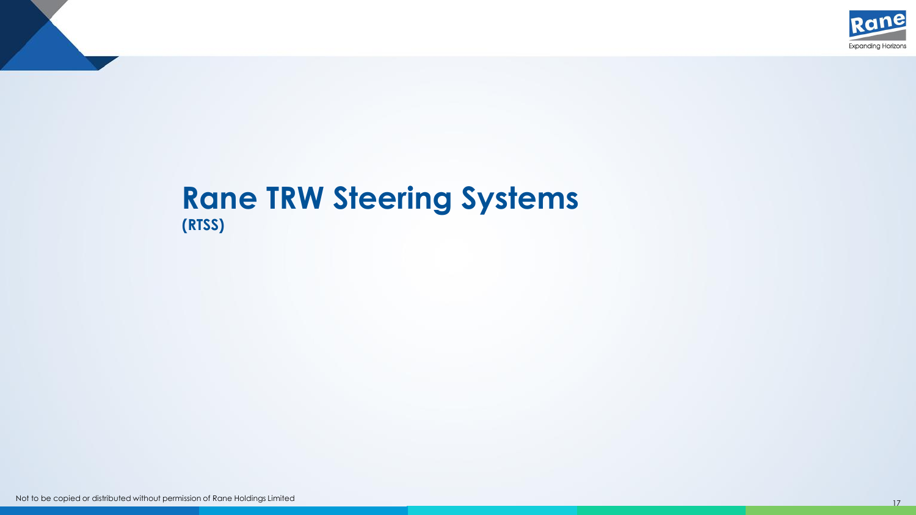

### **Rane TRW Steering Systems (RTSS)**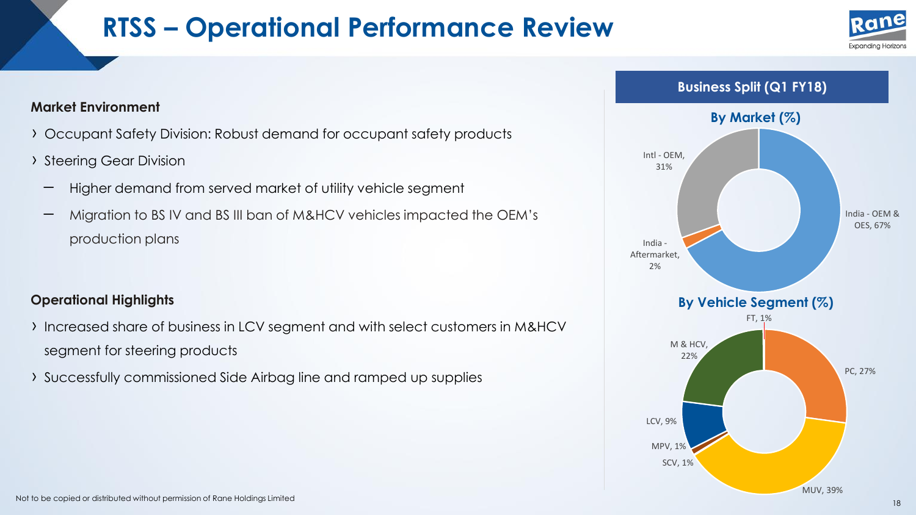# **RTSS – Operational Performance Review**





#### **Market Environment**

- › Occupant Safety Division: Robust demand for occupant safety products
- › Steering Gear Division
	- Higher demand from served market of utility vehicle segment
	- Migration to BS IV and BS III ban of M&HCV vehicles impacted the OEM's production plans

#### **Operational Highlights**

- › Increased share of business in LCV segment and with select customers in M&HCV segment for steering products
- › Successfully commissioned Side Airbag line and ramped up supplies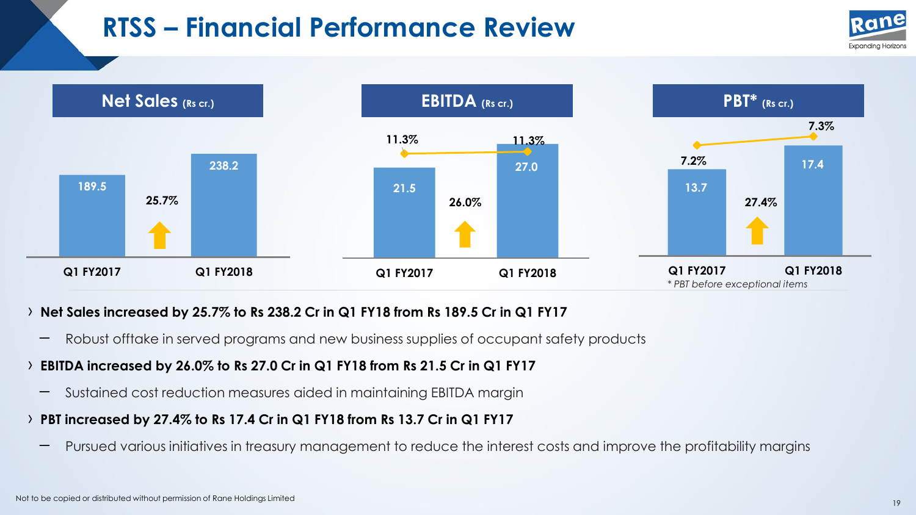# **RTSS – Financial Performance Review**





#### › **Net Sales increased by 25.7% to Rs 238.2 Cr in Q1 FY18 from Rs 189.5 Cr in Q1 FY17**

- Robust offtake in served programs and new business supplies of occupant safety products
- › **EBITDA increased by 26.0% to Rs 27.0 Cr in Q1 FY18 from Rs 21.5 Cr in Q1 FY17**
	- Sustained cost reduction measures aided in maintaining EBITDA margin
- › **PBT increased by 27.4% to Rs 17.4 Cr in Q1 FY18 from Rs 13.7 Cr in Q1 FY17**
	- Pursued various initiatives in treasury management to reduce the interest costs and improve the profitability margins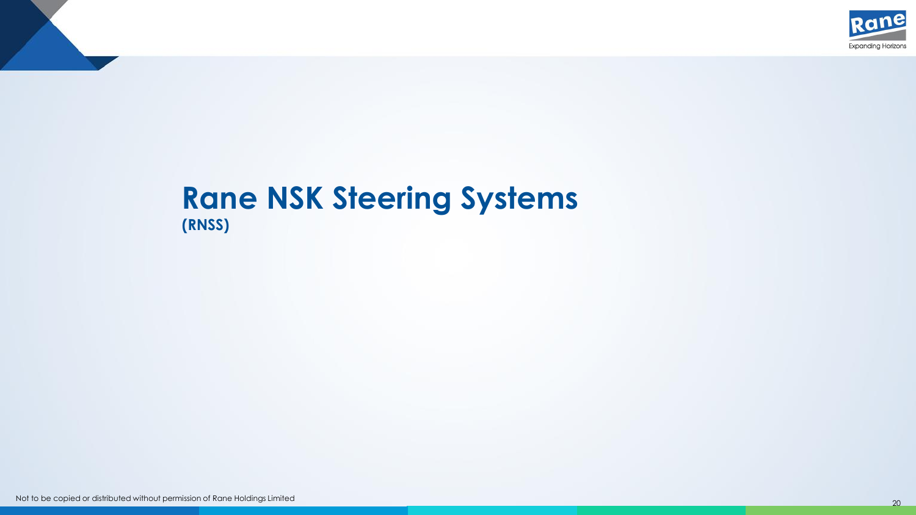

### **Rane NSK Steering Systems (RNSS)**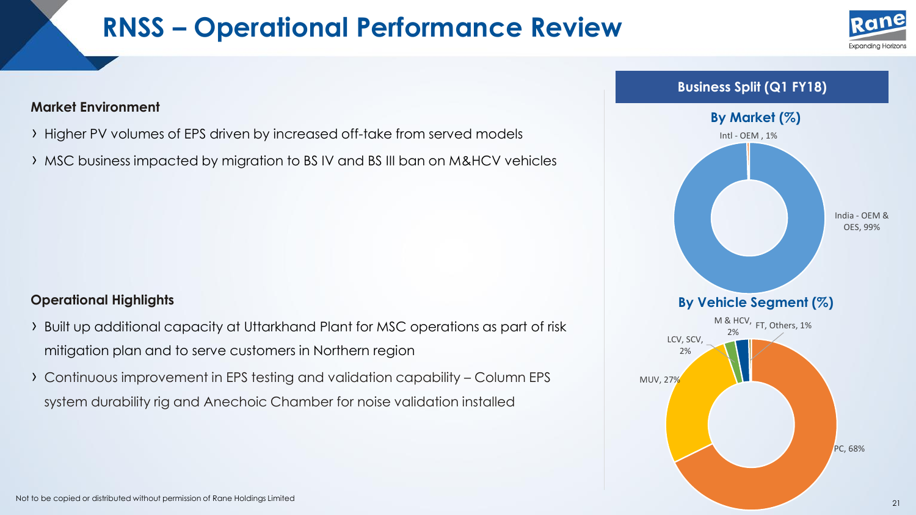# **RNSS – Operational Performance Review**



#### **Market Environment**

- › Higher PV volumes of EPS driven by increased off-take from served models
- › MSC business impacted by migration to BS IV and BS III ban on M&HCV vehicles

#### **Operational Highlights**

- › Built up additional capacity at Uttarkhand Plant for MSC operations as part of risk mitigation plan and to serve customers in Northern region
- › Continuous improvement in EPS testing and validation capability Column EPS system durability rig and Anechoic Chamber for noise validation installed

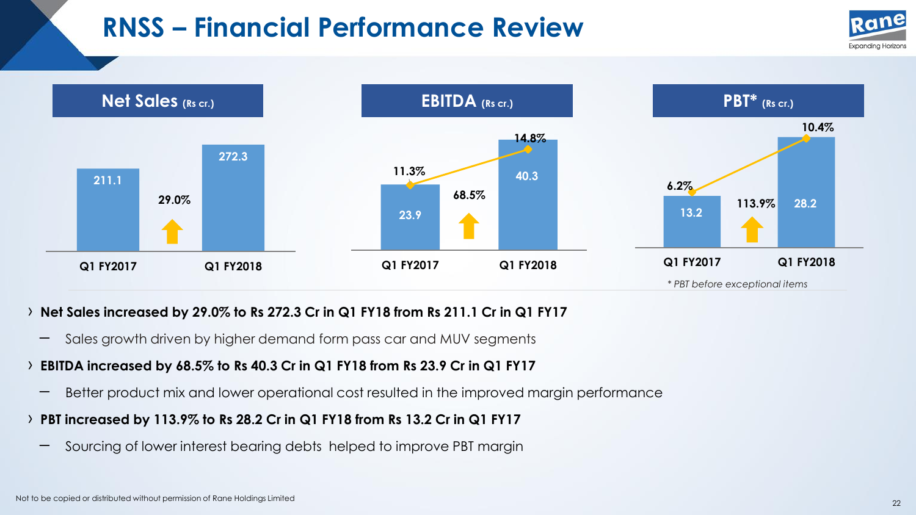# **RNSS – Financial Performance Review**





#### › **Net Sales increased by 29.0% to Rs 272.3 Cr in Q1 FY18 from Rs 211.1 Cr in Q1 FY17**

– Sales growth driven by higher demand form pass car and MUV segments

### › **EBITDA increased by 68.5% to Rs 40.3 Cr in Q1 FY18 from Rs 23.9 Cr in Q1 FY17**

- Better product mix and lower operational cost resulted in the improved margin performance
- › **PBT increased by 113.9% to Rs 28.2 Cr in Q1 FY18 from Rs 13.2 Cr in Q1 FY17**
	- Sourcing of lower interest bearing debts helped to improve PBT margin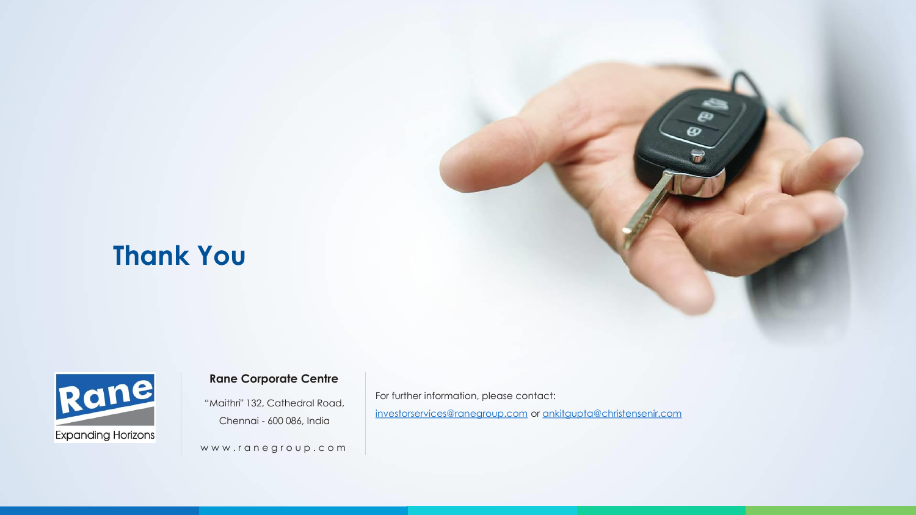### **Thank You**



#### **Rane Corporate Centre**

"Maithri" 132, Cathedral Road, Chennai - 600 086, India

www.ranegroup.com

For further information, please contact: [investorservices@ranegroup.com](mailto:investorservices@ranegroup.com) or [ankitgupta@christensenir.com](mailto:ankitgupta@christensenir.com)

 $\boldsymbol{\omega}$ 

Not to be copied or distributed without permission of Rane Holdings Limited <sup>23</sup>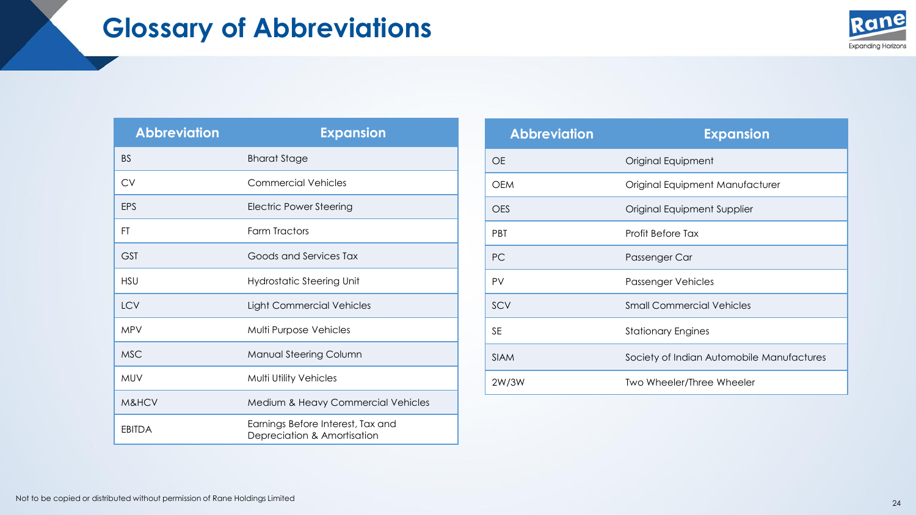

| <b>Abbreviation</b> | <b>Expansion</b>                                                 |
|---------------------|------------------------------------------------------------------|
| <b>BS</b>           | <b>Bharat Stage</b>                                              |
| <b>CV</b>           | Commercial Vehicles                                              |
| EPS                 | <b>Electric Power Steering</b>                                   |
| FT                  | Farm Tractors                                                    |
| <b>GST</b>          | Goods and Services Tax                                           |
| <b>HSU</b>          | <b>Hydrostatic Steering Unit</b>                                 |
| <b>LCV</b>          | Light Commercial Vehicles                                        |
| <b>MPV</b>          | Multi Purpose Vehicles                                           |
| <b>MSC</b>          | Manual Steering Column                                           |
| <b>MUV</b>          | <b>Multi Utility Vehicles</b>                                    |
| M&HCV               | Medium & Heavy Commercial Vehicles                               |
| <b>EBITDA</b>       | Earnings Before Interest, Tax and<br>Depreciation & Amortisation |

| <b>Abbreviation</b> | <b>Expansion</b>                          |
|---------------------|-------------------------------------------|
| <b>OE</b>           | Original Equipment                        |
| <b>OEM</b>          | Original Equipment Manufacturer           |
| <b>OES</b>          | Original Equipment Supplier               |
| <b>PBT</b>          | Profit Before Tax                         |
| <b>PC</b>           | Passenger Car                             |
| <b>PV</b>           | Passenger Vehicles                        |
| SCV                 | <b>Small Commercial Vehicles</b>          |
| <b>SE</b>           | <b>Stationary Engines</b>                 |
| <b>SIAM</b>         | Society of Indian Automobile Manufactures |
| 2W/3W               | Two Wheeler/Three Wheeler                 |